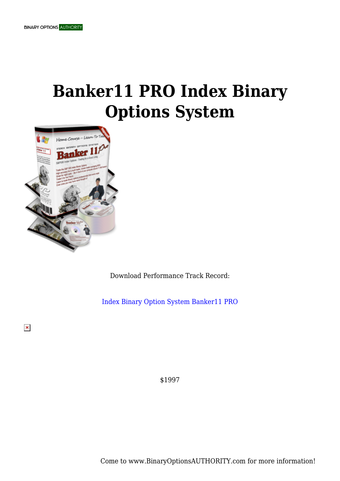## **Banker11 PRO Index Binary Options System**



Download Performance Track Record:

[Index Binary Option System Banker11 PRO](https://binaryoptionsauthority.com/wp-content/uploads/2015/02/Index-Binary-Option-System-Banker11-PRO.pdf)

 $\pmb{\times}$ 

\$1997

Come to www.BinaryOptionsAUTHORITY.com for more information!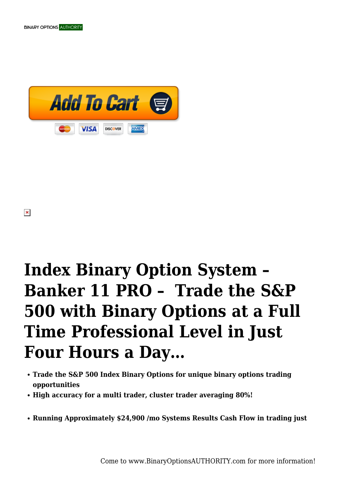



# **Index Binary Option System – Banker 11 PRO – Trade the S&P 500 with Binary Options at a Full Time Professional Level in Just Four Hours a Day…**

- **Trade the S&P 500 Index Binary Options for unique binary options trading opportunities**
- **High accuracy for a multi trader, cluster trader averaging 80%!**
- **Running Approximately \$24,900 /mo Systems Results Cash Flow in trading just**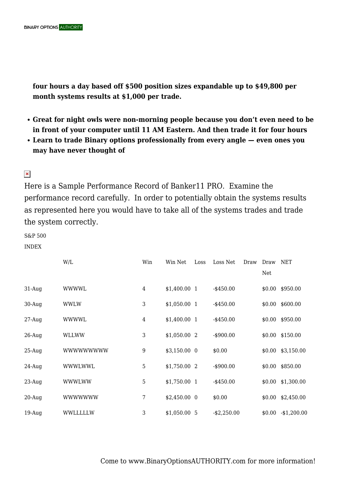**four hours a day based off \$500 position sizes expandable up to \$49,800 per month systems results at \$1,000 per trade.**

- **Great for night owls were non-morning people because you don't even need to be in front of your computer until 11 AM Eastern. And then trade it for four hours**
- **Learn to trade Binary options professionally from every angle even ones you may have never thought of**

#### $\pmb{\times}$

Here is a Sample Performance Record of Banker11 PRO. Examine the performance record carefully. In order to potentially obtain the systems results as represented here you would have to take all of the systems trades and trade the system correctly.

S&P 500

INDEX

|           | W/L              | Win   | Win Net       | Loss | Loss Net       | Draw | Draw   | <b>NET</b>         |
|-----------|------------------|-------|---------------|------|----------------|------|--------|--------------------|
|           |                  |       |               |      |                |      | Net    |                    |
| $31$ -Aug | <b>WWWWL</b>     | 4     | \$1,400.00 1  |      | $-$ \$450.00   |      |        | $$0.00$ \$950.00   |
| $30-Auq$  | <b>WWLW</b>      | 3     | $$1,050.00$ 1 |      | $-$ \$450.00   |      |        | $$0.00$ \$600.00   |
| $27$ -Aug | WWWWL            | 4     | $$1,400.00$ 1 |      | $-$ \$450.00   |      |        | $$0.00$ \$950.00   |
| $26$ -Aug | WLLWW            | 3     | $$1,050.00$ 2 |      | $-$ \$900.00   |      |        | $$0.00$ \$150.00   |
| $25-Auq$  | <b>WWWWWWWWW</b> | $9\,$ | $$3,150.00$ 0 |      | \$0.00         |      |        | $$0.00$ \$3,150.00 |
| $24$ -Aug | WWWLWWL          | 5     | \$1,750.00 2  |      | $-$ \$900.00   |      |        | $$0.00$ \$850.00   |
| $23$ -Aug | <b>WWWLWW</b>    | 5     | $$1,750.00$ 1 |      | $-$ \$450.00   |      |        | $$0.00$ \$1,300.00 |
| $20-Auq$  | <b>WWWWWWW</b>   | 7     | $$2,450.00$ 0 |      | \$0.00         |      | \$0.00 | \$2,450.00         |
| $19$ -Aug | WWLLLLLW         | 3     | \$1,050.005   |      | $-$ \$2,250.00 |      | \$0.00 | $-$1,200.00$       |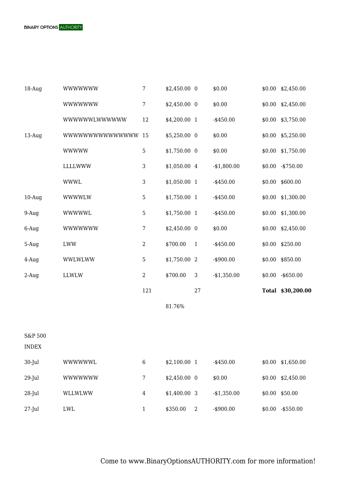| $18$ -Aug               | WWWWWW                    | 7              | $$2,450.00$ 0 |                | \$0.00       |        | $$0.00$ $$2,450.00$ |
|-------------------------|---------------------------|----------------|---------------|----------------|--------------|--------|---------------------|
|                         | <b>WWWWWWW</b>            | $\overline{7}$ | $$2,450.00$ 0 |                | \$0.00       | \$0.00 | \$2,450.00          |
|                         | WWWWWWLWWWWW              | 12             | \$4,200.00 1  |                | $-$ \$450.00 | \$0.00 | \$3,750.00          |
| $13$ -Aug               | <b>WWWWWWWWWWWWWW</b>     | -15            | \$5,250.00 0  |                | \$0.00       | \$0.00 | \$5,250.00          |
|                         | <b>WWWWW</b>              | $\mathbf 5$    | \$1,750.00 0  |                | \$0.00       | \$0.00 | \$1,750.00          |
|                         | LLLLWWW                   | 3              | \$1,050.00 4  |                | $-$1,800.00$ | \$0.00 | $-$ \$750.00        |
|                         | <b>WWWL</b>               | 3              | \$1,050.00 1  |                | $-$ \$450.00 |        | $$0.00$ \$600.00    |
| $10-Auq$                | WWWWLW                    | $\overline{5}$ | \$1,750.00 1  |                | $-$ \$450.00 | \$0.00 | \$1,300.00          |
| $9-Auq$                 | <b>WWWWWL</b>             | 5              | \$1,750.00 1  |                | $-$ \$450.00 | \$0.00 | \$1,300.00          |
| 6-Aug                   | <b>WWWWWWW</b>            | $\overline{7}$ | \$2,450.00 0  |                | \$0.00       | \$0.00 | \$2,450.00          |
| 5-Aug                   | ${\rm LWW}$               | $\mathbf{2}$   | \$700.00      | $\mathbf{1}$   | $-$ \$450.00 | \$0.00 | \$250.00            |
| 4-Aug                   | WWLWLWW                   | $\overline{5}$ | \$1,750.00 2  |                | $-$ \$900.00 | \$0.00 | \$850.00            |
| $2-Aug$                 | LLWLW                     | $\mathbf{2}$   | \$700.00      | 3              | $-$1,350.00$ | \$0.00 | $-$ \$650.00        |
|                         |                           | 121            |               | 27             |              |        | Total \$30,200.00   |
|                         |                           |                | 81.76%        |                |              |        |                     |
|                         |                           |                |               |                |              |        |                     |
| S&P 500<br><b>INDEX</b> |                           |                |               |                |              |        |                     |
| 30-Jul                  | <b>WWWWWWL</b>            | $\,6\,$        | \$2,100.00 1  |                | $-$ \$450.00 | \$0.00 | \$1,650.00          |
| 29-Jul                  | <b>WWWWWWW</b>            | $\overline{7}$ | \$2,450.00 0  |                | \$0.00       | \$0.00 | \$2,450.00          |
| $28$ -Jul               | WLLWLWW                   | $\overline{4}$ | \$1,400.00 3  |                | $-$1,350.00$ | \$0.00 | \$50.00             |
| $27$ -Jul               | $\ensuremath{\text{LWL}}$ | $\mathbf{1}$   | \$350.00      | $\overline{2}$ | $-$ \$900.00 | \$0.00 | $-$ \$550.00        |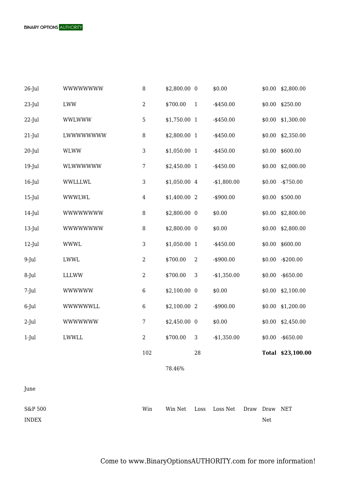

S&P 500 INDEX Win Win Net Loss Loss Net Draw Draw NETNet

**BINARY OPTIONS AUTHORITY**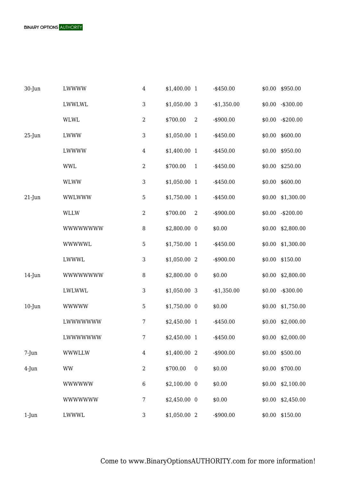

| 30-Jun    | LWWWW           | $\overline{4}$ | \$1,400.00 1  |                  | $-$ \$450.00   |        | \$0.00 \$950.00    |
|-----------|-----------------|----------------|---------------|------------------|----------------|--------|--------------------|
|           | LWWLWL          | 3              | \$1,050.00 3  |                  | $-$ \$1,350.00 |        | $$0.00$ -\$300.00  |
|           | <b>WLWL</b>     | $\mathbf{2}$   | \$700.00      | $\overline{2}$   | $-$ \$900.00   |        | $$0.00$ -\$200.00  |
| $25$ -Jun | LWWW            | 3              | \$1,050.00 1  |                  | $-$ \$450.00   | \$0.00 | \$600.00           |
|           | LWWWW           | $\overline{4}$ | \$1,400.00 1  |                  | $-$ \$450.00   |        | \$0.00 \$950.00    |
|           | <b>WWL</b>      | $\mathbf{2}$   | \$700.00      | $\mathbf{1}$     | $-$ \$450.00   |        | \$0.00 \$250.00    |
|           | <b>WLWW</b>     | 3              | \$1,050.00 1  |                  | $-$ \$450.00   | \$0.00 | \$600.00           |
| $21$ -Jun | <b>WWLWWW</b>   | 5              | \$1,750.00 1  |                  | $-$ \$450.00   | \$0.00 | \$1,300.00         |
|           | <b>WLLW</b>     | $\mathbf{2}$   | \$700.00      | $\boldsymbol{2}$ | $-$ \$900.00   |        | $$0.00$ -\$200.00  |
|           | <b>WWWWWWWW</b> | 8              | \$2,800.00 0  |                  | \$0.00         | \$0.00 | \$2,800.00         |
|           | <b>WWWWWL</b>   | 5              | \$1,750.00 1  |                  | $-$ \$450.00   |        | $$0.00$ \$1,300.00 |
|           | LWWWL           | 3              | \$1,050.00 2  |                  | $-$ \$900.00   |        | \$0.00 \$150.00    |
| $14$ -Jun | <b>WWWWWWWW</b> | $\, 8$         | \$2,800.00 0  |                  | \$0.00         |        | $$0.00$ \$2,800.00 |
|           | LWLWWL          | 3              | \$1,050.00 3  |                  | $-$1,350.00$   |        | $$0.00$ -\$300.00  |
| $10$ -Jun | <b>WWWWW</b>    | $\overline{5}$ | \$1,750.00 0  |                  | \$0.00         |        | $$0.00$ \$1,750.00 |
|           | LWWWWWWW        | 7              | \$2,450.00 1  |                  | $-$ \$450.00   |        | $$0.00$ \$2,000.00 |
|           | LWWWWWWW        | 7              | \$2,450.00 1  |                  | $-$ \$450.00   |        | $$0.00$ \$2,000.00 |
| $7$ -Jun  | <b>WWWLLW</b>   | $\overline{4}$ | \$1,400.00 2  |                  | $-$ \$900.00   |        | \$0.00 \$500.00    |
| 4-Jun     | <b>WW</b>       | 2              | \$700.00      | $\boldsymbol{0}$ | \$0.00         | \$0.00 | \$700.00           |
|           | <b>WWWWWW</b>   | $\,6$          | $$2,100.00$ 0 |                  | \$0.00         | \$0.00 | \$2,100.00         |
|           | <b>WWWWWWW</b>  | 7              | \$2,450.00 0  |                  | \$0.00         | \$0.00 | \$2,450.00         |
| $1-J$ un  | LWWWL           | 3              | \$1,050.00 2  |                  | $-$ \$900.00   |        | $$0.00$ \$150.00   |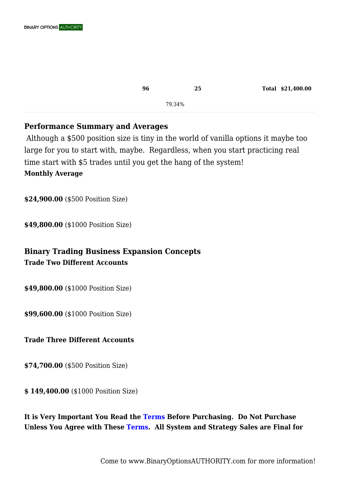| 96 |        | 25 | Total \$21,400.00 |
|----|--------|----|-------------------|
|    | 79.34% |    |                   |

#### **Performance Summary and Averages**

 Although a \$500 position size is tiny in the world of vanilla options it maybe too large for you to start with, maybe. Regardless, when you start practicing real time start with \$5 trades until you get the hang of the system! **Monthly Average**

**\$24,900.00** (\$500 Position Size)

**\$49,800.00** (\$1000 Position Size)

### **Binary Trading Business Expansion Concepts Trade Two Different Accounts**

**\$49,800.00** (\$1000 Position Size)

**\$99,600.00** (\$1000 Position Size)

#### **Trade Three Different Accounts**

**\$74,700.00** (\$500 Position Size)

**\$ 149,400.00** (\$1000 Position Size)

**It is Very Important You Read the [Terms B](https://binaryoptionsauthority.com/terms/)efore Purchasing. Do Not Purchase Unless You Agree with These [Terms.](https://binaryoptionsauthority.com/terms/) All System and Strategy Sales are Final for**